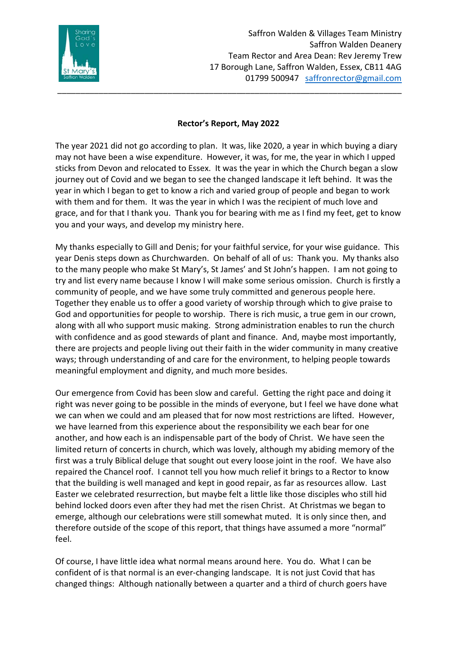

## **Rector's Report, May 2022**

\_\_\_\_\_\_\_\_\_\_\_\_\_\_\_\_\_\_\_\_\_\_\_\_\_\_\_\_\_\_\_\_\_\_\_\_\_\_\_\_\_\_\_\_\_\_\_\_\_\_\_\_\_\_\_\_\_\_\_\_\_\_\_\_\_\_\_\_\_\_\_\_\_\_\_

The year 2021 did not go according to plan. It was, like 2020, a year in which buying a diary may not have been a wise expenditure. However, it was, for me, the year in which I upped sticks from Devon and relocated to Essex. It was the year in which the Church began a slow journey out of Covid and we began to see the changed landscape it left behind. It was the year in which I began to get to know a rich and varied group of people and began to work with them and for them. It was the year in which I was the recipient of much love and grace, and for that I thank you. Thank you for bearing with me as I find my feet, get to know you and your ways, and develop my ministry here.

My thanks especially to Gill and Denis; for your faithful service, for your wise guidance. This year Denis steps down as Churchwarden. On behalf of all of us: Thank you. My thanks also to the many people who make St Mary's, St James' and St John's happen. I am not going to try and list every name because I know I will make some serious omission. Church is firstly a community of people, and we have some truly committed and generous people here. Together they enable us to offer a good variety of worship through which to give praise to God and opportunities for people to worship. There is rich music, a true gem in our crown, along with all who support music making. Strong administration enables to run the church with confidence and as good stewards of plant and finance. And, maybe most importantly, there are projects and people living out their faith in the wider community in many creative ways; through understanding of and care for the environment, to helping people towards meaningful employment and dignity, and much more besides.

Our emergence from Covid has been slow and careful. Getting the right pace and doing it right was never going to be possible in the minds of everyone, but I feel we have done what we can when we could and am pleased that for now most restrictions are lifted. However, we have learned from this experience about the responsibility we each bear for one another, and how each is an indispensable part of the body of Christ. We have seen the limited return of concerts in church, which was lovely, although my abiding memory of the first was a truly Biblical deluge that sought out every loose joint in the roof. We have also repaired the Chancel roof. I cannot tell you how much relief it brings to a Rector to know that the building is well managed and kept in good repair, as far as resources allow. Last Easter we celebrated resurrection, but maybe felt a little like those disciples who still hid behind locked doors even after they had met the risen Christ. At Christmas we began to emerge, although our celebrations were still somewhat muted. It is only since then, and therefore outside of the scope of this report, that things have assumed a more "normal" feel.

Of course, I have little idea what normal means around here. You do. What I can be confident of is that normal is an ever-changing landscape. It is not just Covid that has changed things: Although nationally between a quarter and a third of church goers have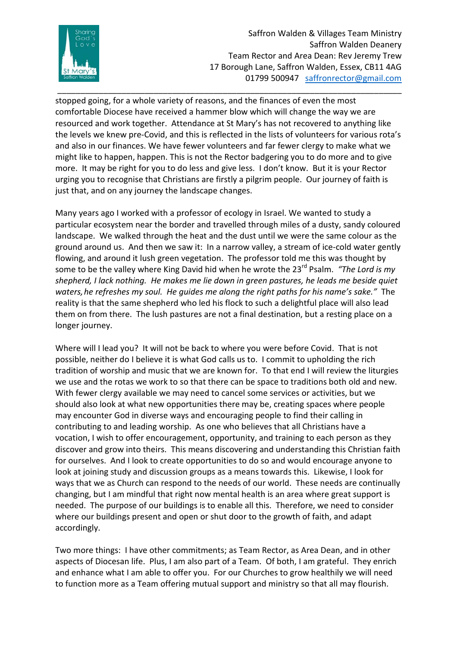

Saffron Walden & Villages Team Ministry Saffron Walden Deanery Team Rector and Area Dean: Rev Jeremy Trew 17 Borough Lane, Saffron Walden, Essex, CB11 4AG 01799 500947 [saffronrector@gmail.com](mailto:saffronrector@gmail.com)

stopped going, for a whole variety of reasons, and the finances of even the most comfortable Diocese have received a hammer blow which will change the way we are resourced and work together. Attendance at St Mary's has not recovered to anything like the levels we knew pre-Covid, and this is reflected in the lists of volunteers for various rota's and also in our finances. We have fewer volunteers and far fewer clergy to make what we might like to happen, happen. This is not the Rector badgering you to do more and to give more. It may be right for you to do less and give less. I don't know. But it is your Rector urging you to recognise that Christians are firstly a pilgrim people. Our journey of faith is just that, and on any journey the landscape changes.

\_\_\_\_\_\_\_\_\_\_\_\_\_\_\_\_\_\_\_\_\_\_\_\_\_\_\_\_\_\_\_\_\_\_\_\_\_\_\_\_\_\_\_\_\_\_\_\_\_\_\_\_\_\_\_\_\_\_\_\_\_\_\_\_\_\_\_\_\_\_\_\_\_\_\_

Many years ago I worked with a professor of ecology in Israel. We wanted to study a particular ecosystem near the border and travelled through miles of a dusty, sandy coloured landscape. We walked through the heat and the dust until we were the same colour as the ground around us. And then we saw it: In a narrow valley, a stream of ice-cold water gently flowing, and around it lush green vegetation. The professor told me this was thought by some to be the valley where King David hid when he wrote the 23<sup>rd</sup> Psalm. *"The Lord is my shepherd, I lack nothing. He makes me lie down in green pastures, he leads me beside quiet waters,he refreshes my soul. He guides me along the right paths for his name's sake."* The reality is that the same shepherd who led his flock to such a delightful place will also lead them on from there. The lush pastures are not a final destination, but a resting place on a longer journey.

Where will I lead you? It will not be back to where you were before Covid. That is not possible, neither do I believe it is what God calls us to. I commit to upholding the rich tradition of worship and music that we are known for. To that end I will review the liturgies we use and the rotas we work to so that there can be space to traditions both old and new. With fewer clergy available we may need to cancel some services or activities, but we should also look at what new opportunities there may be, creating spaces where people may encounter God in diverse ways and encouraging people to find their calling in contributing to and leading worship. As one who believes that all Christians have a vocation, I wish to offer encouragement, opportunity, and training to each person as they discover and grow into theirs. This means discovering and understanding this Christian faith for ourselves. And I look to create opportunities to do so and would encourage anyone to look at joining study and discussion groups as a means towards this. Likewise, I look for ways that we as Church can respond to the needs of our world. These needs are continually changing, but I am mindful that right now mental health is an area where great support is needed. The purpose of our buildings is to enable all this. Therefore, we need to consider where our buildings present and open or shut door to the growth of faith, and adapt accordingly.

Two more things: I have other commitments; as Team Rector, as Area Dean, and in other aspects of Diocesan life. Plus, I am also part of a Team. Of both, I am grateful. They enrich and enhance what I am able to offer you. For our Churches to grow healthily we will need to function more as a Team offering mutual support and ministry so that all may flourish.